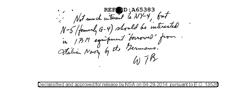REF D: A65383 N-5 (formerly G-4) should be interested N-5 (formerly G-9) sont and and some .<br>in IBM equipment "borrowed" from .<br>Atalian Navy by the Bermans.  $407B$ 

Declassified and approved for release by NSA on 04-29 2014 pursuant to E .o. 1352a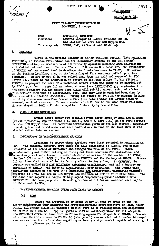# **REF ID:A65383**

## FIRST DETAILLED INTERROGATION OF SAMARUGHI, Giuseppe

Name: Function: Interrogated: SAMARUGHI, Giuseppe<br>General Manager of WATSON-ITALIANA Soc.An. Did statistical work for SIM Crypto Sec. CSDIC, CMF, 27 Nov 44 and 18 Jan 45

#### 1. PREAMBLE

Source is the General Manager of WATSON-ITALIANA Soc.An. (late HOLLERITH ITALIAMA), an Italian firm, which was the subsidiary company of the USA WATSON-HOLLERITH combine, manufacturers of electrically operated punching card calculating an'l statistical machines. He is a "Doctor of Economic Sciences" from the University of VENICE and has worked hard to develope the furm's business in ITALY, He served in the Italian irtillery and, at the beginning of this war, was called up to his In Sep or Oct 42 he was called away from his unit and reported to SIM regarent. Crypto Se., where he was instructed to return to his ROME office  $(1, 7)$  Via Vittorio VIMETO) to prepare for work of a technical nature which was going to be carried out by SIM Crypto Sec. Work did not start at once (see CSDIC/CMF/Y 4); mechanics from the firm's factory did not arrive from MILAN till Feb 43, expert technical advice from GERMANY took time to materialise, etc., and only little work had been done by the time of the Italian Armistice, During the winter of 1943-44 the Germans in ROME tried to obtain machines from Source's firm (see below) which the latter tried to prevent, without success. He was arrested about 20 Nov 43 and soon after released. Source stayed in ROME till the occupation of the oity by the Allies.

#### 2. WORK FOR SIM CRYPTO SEC

Source could supply few details beyond those given by BIGI and SCUDERI (of CSDIC/CMF/Y 4, App "A" paras o.d. and e., and Y 8, para 2.A.) on the work carried out for SIM Crypto Sec. He confirmed information given by the a/m sources, especially regarding the restricted amount of work carried out in view of the fact that it was started rather late in the war.

#### INFORMATION ON WATSON-HOLLERITH MACHINES 3.

According to Source these machines were first patented by HOLLERITH in The concern, however, grew under the able leadership of WATSON, who became USA. President of the Board of Directors and changed the name of the firm. Firms manufacturing and either selling or hiring out these machines for statistical and In ITALY, accountancy work were formed in most industrial countries in the world. the Head Office is in ROME (1, Via Vittorio VENETO) and the factory at MILAN. Source did not know what happened to the factory after the Armistice, In GERMANY, the Company was called DEUTSCHE HOLLERITH MASCHINEN GESELLSCHAFT, and had a factory or factories at BERLIN, and later at SINDELFINGEN, near STUTTGART. The German-made tabulating machine of the type D-11 (numerical and alphabetical tabulating machine) imported to ITALY for use by SIM Crypto Sec was made at BERLIN or SINIELFINGEN. **The** Italians also imported a couple of high-speed "reproducing-punch" machines from GERMANY for the same purpose, According to Source all German machines were copies of those made in USA.

### 4. WATSON-HOLLERITH MACHINES TAKEN FROM ITALY TO GERMANY

### $(a)$ **ROME**

Source was informed on or about 20 Nov 43 that by order of the RUK (Renchsministerium fuer Ruestung und Kriegsproduktion) representative in ROME, Major QUIE., all WATSON-HOLLERITH machines in ROME were to be requisitioned and dispatched to CERNANY by 1 Dec 43. App "A" gives a list of machinery which the RUK compelled the WATSON-ITALIANA to hand over to forwarding agents for dispatch to MILAN. Source maintains that his arrest on 20 Nov 43 (see para 1) was carried out in order to compel aim to disclose the information regarding machinery and personnel capable of working it. /Source maintained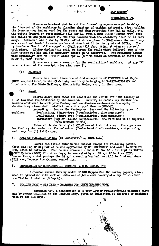ID:A65383 REF

**SHORT!** 

## CSDIC/CMF/Y 29.

Source maintained that he and the forwarding agents managed to delay the dispatch of the machinery by pleading shortage of packing materials, first telling the Germans they had no wood for the cases and then reporting they had no nails, etc. The matter dragged on successfully till Mar 44, when a Capt ROTHE (German Army) from RUK called to see them about it, and they decided that, the machinery "had" to be sent Between 1 and 3 Mar 44 SS ORs called at the place in ROME where the machinery away. was stored and loaded it onto trucks and then took it to the ry stn at OSTIA. The ry trucks - five in all - stayed at OSTIA stn till about 9 Mar 44 when an air raid took place. Either during this raid, or during the raids which followed, one of the<br>five trucks was hit and the machinery loaded on it destroyed. The remaining trucks<br>were eventually sent to GERMANY about Apr 44 (NOT to MI CAMUCIA. near AREZZO.

Source was given a receipt for the requisitioned machines. At App "A" is an extract of the receipt. (See also para 7). ÷.

#### $(b)$ **FLORENCE**

Source has heard since the Allied occupation of FLORENCE that Major QUIEL requisitioned, on the 29 Jun 44, machinery belonging to WATSON-ITALIANA and rhired out to the State Railways, Electricity Works, etc., in that town.

#### $(c)$ **MILAN**

Source knows, that since the Armistice the WATSON-ITALIANA factory at MILAN has been requisitioned by the Germans. However, he cannot say whether the Germans continued to work this factory and manufacture machines on the spot, or whether they dismantled installations and shipped them to GERMANY.

machines:

According to Source the factory can turn out the following types of Perforating, figure-type ("perforatrice, tipo numerico")<br>Duplicating figure-type ("duplicatrice, tipo numerico") Tabulators (50% of Italian requirements; the rest had to be imported from GERMANY or USA).

Items which the factory at MILAN cannot turn out are: the apparatus for feeding the cards into the selector ("selezionatrice") machines, and printing machinery for (?) tabulators.

5. NOTE ON FORMATION OF SID (of CSDIC/CMF/Y 4, para 4,A.)

Source had little infm'on the subject except the following points, About end Sep or beg Oct 43 he was approached by Col COSMACINI and asked to work for SID, which he refused. When he was arrested - about 20 Nov  $43$  - and kept at REGINA COELI Prison (ROME) for three days, he was asked by an SS sjt if he knew BIGI. Source thought that perhaps the SS sjt arresting him had been told to find out where REAL was, because the Germans wanted him.

### 6. DESTRUCTION OF CRYPTOGRAPHIC WORKING PAPERS, CARDS, ETC

 $\sim$  Source stated that by order of SIM Crypto Sec ALL eards, papers, etc., used in connection with work on codes and oiphers were destroyed a day or so after the Italian Armistice  $(8 \text{ Sep } 43)$ .

### 7. **ITALIAN NAVY - SIS DEPT - MACHINES FOR CRYPTOGRAPHIC WORK**

Appendix "B", a translation of a copy letter requisitioning machines hired out by WATSON-ITALLANA to the Italian Navy, gives an inducation of the types of machines used by the SIS Dept.

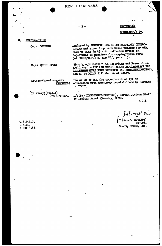**REF ID:A65383** 

# $-3 -$

in ITALY.

# TOP SECRET

CSDIC/OMF/Y 29.

#### PERSONALITIES 8.

ċ

Capt SCHENKE

Major QUIEL Bruno

Employed by DEUTSCHE HOLLERITH MASCHINEN GESELL-SCHAFT and given Army rank while working for OKW. Came to ROME in 43 and instructed Source on employment of machines for cryptographic work (cf CSDIC/CMF/Y 4, App  $"\Lambda"$ , para  $\bar{d}$ .).

"Hauptgruppenleiter" in Reporting and Research on Machinery in RUK (IN MASCHINELLEN BERICHTWESEN BES REICHSMINISTERS FUER RUESTUNG UND KRIEGSPRODUKTION). Had HQ at MILAN till Jun 44 at least.

Kriegs-Verwaltungsrat KIRCHBERG

Lt (Navy)(Kaptlt) von LEWINSKI I/o HQ (DIENSTSTELLENLEITER), German Lıaison Staff at Italian Naval Ministry, ROME.

connection with machinery requisitioned by Bermans

I/c or IO of RUK for procurement of tpt in

A.G.B.

Atlerged Major  $\gamma$  (R.P.F. EDWARDS) Lt-Col. Comdt, CSDIC, CMF.

 $C, S, D, I, C$ .,  $8$  Feb  $1945$ .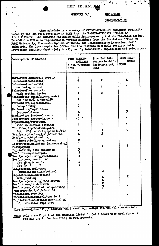REF ID:A653

ŧ

# APPENDIX "A"

**TOP BEGINS** 

وببر

CSDIC/CMF/Y 29

This schedule is a summary of WATSON-HOLLERITH equipment requisitnoned by the RUK representative in ROME from the WATSON-ITALIANA offices in 1 Via V. Veneto, the Istituto Nazionale delle Assicurazioni, and the Italeable office. In addition RUK also requisitioned various machines from the Statistics Office of ROME University, the Assicurazioni d'Italia, the Confederazione Lavoratori dell' Industria, the Governorate Tax Office and the Istituto Nazionale Fascista della Previdenza Sociale. (about 13-14 in all, mainly tabulators, duplicators and selectors.)

| Description of Machine                                 | From WATSON-<br><b>ITALIANA</b><br>1 Via V. Veneto<br><b>ROME</b> | From Istituto<br>Nazionale delle<br>Assicurazioni,<br><b>ROME</b> | From ITAL-<br><b>CABLE</b><br><b>ROME</b> |
|--------------------------------------------------------|-------------------------------------------------------------------|-------------------------------------------------------------------|-------------------------------------------|
| Tabulators, numerical type IV                          |                                                                   |                                                                   |                                           |
| Selectors(horizontal)                                  | 6                                                                 | 2                                                                 |                                           |
| Selectors(horizontal)                                  |                                                                   |                                                                   |                                           |
| contact-governed                                       | 2                                                                 |                                                                   |                                           |
| Selectors (horizontal)                                 |                                                                   |                                                                   |                                           |
| with sorting device                                    |                                                                   | 2                                                                 |                                           |
| Reproducing-punch (German made)                        |                                                                   |                                                                   |                                           |
| Nos 510-0267 & 510-0268                                | 2                                                                 |                                                                   |                                           |
| Perforators, alphabetical,                             |                                                                   |                                                                   |                                           |
| non-printing                                           | $\overline{\mathbf{2}}$                                           |                                                                   |                                           |
| Perforators/duplicators                                |                                                                   |                                                                   | 9                                         |
| (motor-driven)                                         | 4                                                                 |                                                                   |                                           |
| Duplicators (motor-driven)                             |                                                                   |                                                                   |                                           |
| Perforators (motor-driven)                             | $-3$                                                              |                                                                   |                                           |
| Reproducing/verifyers,                                 |                                                                   |                                                                   |                                           |
| with 45 control settings                               |                                                                   |                                                                   |                                           |
| Tabulator, alphabetical, ATFS                          |                                                                   | 2                                                                 |                                           |
| $64$ (or 80) contacts, speed 80/150                    | 4                                                                 |                                                                   |                                           |
| Verifyers (checking), alphabetical                     |                                                                   |                                                                   |                                           |
| Perforators/duplicators,<br>alphabetical, non-printing | 2                                                                 |                                                                   |                                           |
| Perforators, collating (summarising)                   |                                                                   |                                                                   |                                           |
| Multiplying                                            |                                                                   |                                                                   |                                           |
| Duplicators, semi-automatic                            |                                                                   |                                                                   |                                           |
| Perforators, electrical                                | 3<br>2                                                            |                                                                   |                                           |
| Verifyers (checking) mechanical                        |                                                                   |                                                                   |                                           |
| Perforators, mechanical                                |                                                                   |                                                                   |                                           |
| for 45 cols cards                                      | 4                                                                 |                                                                   |                                           |
| for $80$                                               |                                                                   |                                                                   |                                           |
| Duplicators, collating                                 |                                                                   |                                                                   |                                           |
| (summarising)alphabetical                              |                                                                   | 2                                                                 |                                           |
| Duplicators, alphabetical                              |                                                                   |                                                                   | 2                                         |
| non-printing                                           |                                                                   |                                                                   |                                           |
| Verifyers(checking)hand-driven                         |                                                                   | 2                                                                 |                                           |
| Perforators, hand-driven                               |                                                                   | 9                                                                 |                                           |
| Perforators, alphabetical, printing                    |                                                                   |                                                                   |                                           |
| "Interpreting", alphabetical                           |                                                                   |                                                                   |                                           |
| Tabulators, type 3-B                                   |                                                                   |                                                                   |                                           |
| Tabulators, numerical, type D-11                       |                                                                   |                                                                   |                                           |
| Diplicators, collating (summarising)                   |                                                                   |                                                                   | 1                                         |
| for tabulator type D-11                                |                                                                   |                                                                   |                                           |

Also Frames(pannelli)(3 section and 1 section), relays etc. and all accessories.

NOTE: Only a small part of the machines listed in Col 1 above were used for work for SIM Crypto Sec according to requirements.

J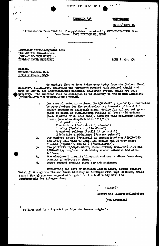**REF ID: A65383** 

## APPENDIX "B"

<del>TOP SECRET</del>

CSDIC/CMF/Y 29

- Translation from Italian of copy-letter received by WATSON-ITALIANA S.A. from German NAVY LIAISON HQ. ROME

Deutscher Verbindungsstab beim Ital.Marine Ministerium. (GERMAN LIAISON STAFF at ITALIAN NAVAL MINISTRY)

ROME 21 Oct 43.

Messrs. WATSON-ITALIANA S.A. 1 Via V. Veneto, ROME.

We certify that we have taken over today from the Italian Naval Ministry, S.I.S.Dept, following the agreement reached with Admiral VAROLI and Capt DE MONTE, the undermentioned machines, Hollerith system, which are your property. The machines will be consigned by us directly to the German Admiralty (OBERKOMMANDO DER KRIEGSMARINE) BERLIN.

- One special selector machine, No 43080-1201, specially constructed  $1.$ by your factory for the particular requirements of the S.I.S. : double feeding of Hollerith cards, device for sifting out given cards by means of simultaneous reading of (over) 160 columns (i.e. 2 cards of 80 cols each), complete with following accessories: (see also despatch bill 1311/12):
	- 1 tarpaulin cover
	- 2 selectors ("selettori di classe")
	-
	- -
- 2 selectors ("selectori al classe")<br>
1 relay ("relais a collo d'oca")<br>
2 bakelite card-holders ("pressa schede")<br>
7wo contact frames ("pannelli di commessione")nos.43903-0220<br>
and 43903-0224 with 90 long, 440 medium and 2  $2.$ 
	-
- $3.$ 43016-0173, complete with table, wooden cabinets and cardholders.
- One electrical circuits blueprint and one handbook describing 4. running of selector machine.
- Three special packing cases for a/m machines.  $5 -$

Concerning the rent of machines listed above, please contact until 31 Oct 43 the Italian Naval Ministry as arranged with Capt DE MONTE, while from 1 Nov 43 you are requested to get into touch directly with the Oberkommando der Kriegsmarine.

(signed)

Kaptlt and Dienststellenleiter

(von Lewinski)

Italian text is a translation from the German original.